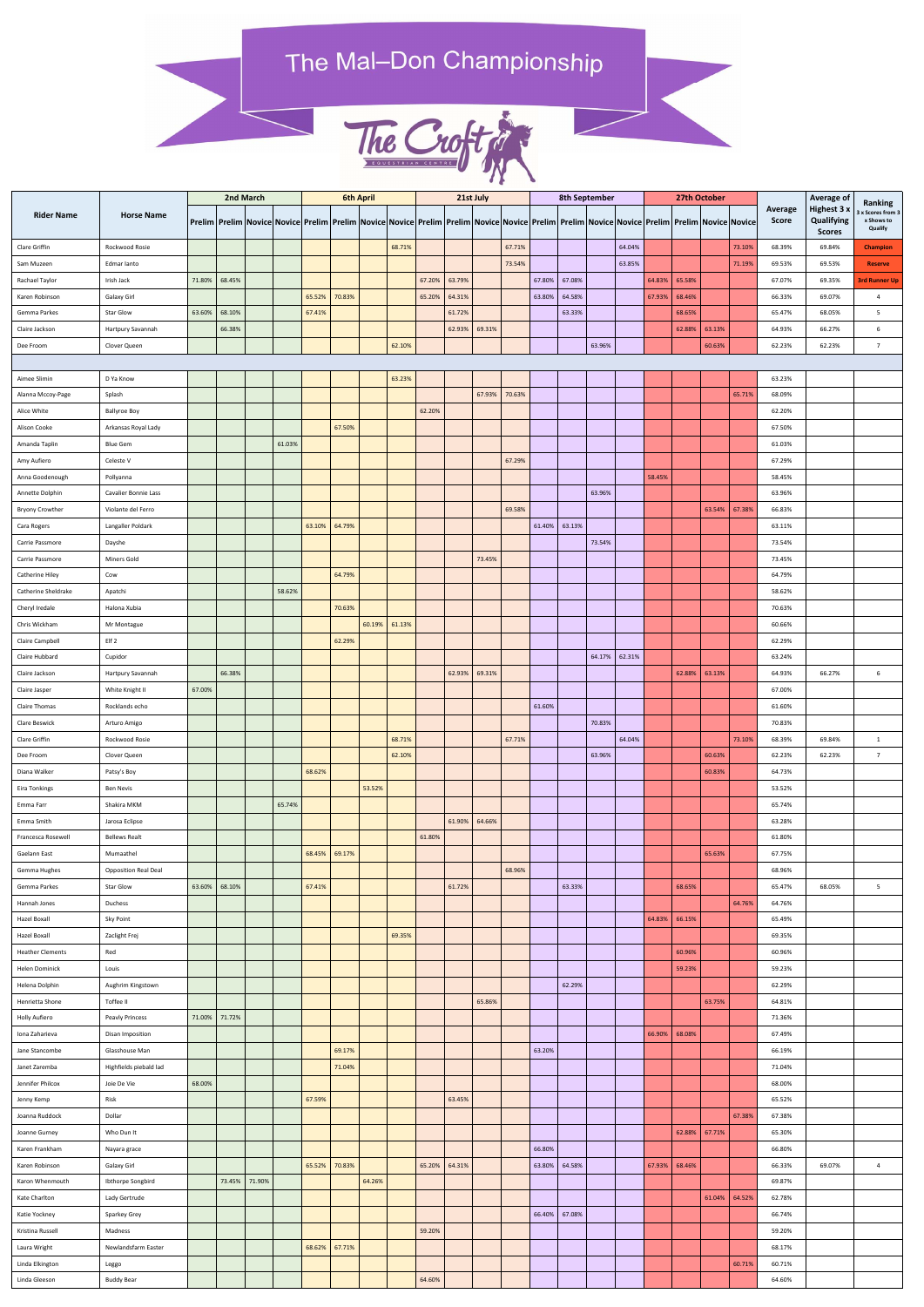## The Mal-Don Championship



|                                           | <b>Horse Name</b>                               | 2nd March |               |               |        | <b>6th April</b> |        |        |        | 21st July |        |        |        | <b>8th September</b> |        |        |                                                                                                                                                                                          |        | 27th October |        |        |                                | <b>Average of</b>                                 | Ranking                                  |
|-------------------------------------------|-------------------------------------------------|-----------|---------------|---------------|--------|------------------|--------|--------|--------|-----------|--------|--------|--------|----------------------|--------|--------|------------------------------------------------------------------------------------------------------------------------------------------------------------------------------------------|--------|--------------|--------|--------|--------------------------------|---------------------------------------------------|------------------------------------------|
| <b>Rider Name</b>                         |                                                 |           |               |               |        |                  |        |        |        |           |        |        |        |                      |        |        | Prelim   Prelim   Novice  Novice  Prelim   Prelim   Novice  Novice  Prelim   Prelim   Novice  Prelim   Prelim   Novice  Novice  Prelim   Prelim   Novice  Novice  Novice  Novice  Novice |        |              |        |        | <b>Average</b><br><b>Score</b> | Highest 3 x<br><b>Qualifying</b><br><b>Scores</b> | x Scores from 3<br>x Shows to<br>Qualify |
| Clare Griffin                             | Rockwood Rosie                                  |           |               |               |        |                  |        |        | 68.71% |           |        |        | 67.71% |                      |        |        | 64.04%                                                                                                                                                                                   |        |              |        | 73.10% | 68.39%                         | 69.84%                                            | <b>Champion</b>                          |
| Sam Muzeen                                | Edmar lanto                                     |           |               |               |        |                  |        |        |        |           |        |        | 73.54% |                      |        |        | 63.85%                                                                                                                                                                                   |        |              |        | 71.19% | 69.53%                         | 69.53%                                            | <b>Reserve</b>                           |
| Rachael Taylor                            | Irish Jack                                      | 71.80%    | 68.45%        |               |        |                  |        |        |        | 67.20%    | 63.79% |        |        | 67.80%               | 67.08% |        |                                                                                                                                                                                          | 64.83% | 65.58%       |        |        | 67.07%                         | 69.35%                                            | <b>3rd Runner Up</b>                     |
| Karen Robinson                            | Galaxy Girl                                     |           |               |               |        | 65.52%           | 70.83% |        |        | 65.20%    | 64.31% |        |        | 63.80%               | 64.58% |        |                                                                                                                                                                                          | 67.93% | 68.46%       |        |        | 66.33%                         | 69.07%                                            | $\overline{4}$                           |
| Gemma Parkes                              | <b>Star Glow</b>                                | 63.60%    | 68.10%        |               |        | 67.41%           |        |        |        |           | 61.72% |        |        |                      | 63.33% |        |                                                                                                                                                                                          |        | 68.65%       |        |        | 65.47%                         | 68.05%                                            | 5                                        |
| Claire Jackson                            | Hartpury Savannah                               |           | 66.38%        |               |        |                  |        |        |        |           | 62.93% | 69.31% |        |                      |        |        |                                                                                                                                                                                          |        | 62.88%       | 63.13% |        | 64.93%                         | 66.27%                                            | 6                                        |
| Dee Froom                                 | Clover Queen                                    |           |               |               |        |                  |        |        | 62.10% |           |        |        |        |                      |        | 63.96% |                                                                                                                                                                                          |        |              | 60.63% |        | 62.23%                         | 62.23%                                            | $\overline{7}$                           |
|                                           |                                                 |           |               |               |        |                  |        |        |        |           |        |        |        |                      |        |        |                                                                                                                                                                                          |        |              |        |        |                                |                                                   |                                          |
| Aimee Slimin                              | D Ya Know                                       |           |               |               |        |                  |        |        | 63.23% |           |        |        |        |                      |        |        |                                                                                                                                                                                          |        |              |        |        | 63.23%                         |                                                   |                                          |
| Alanna Mccoy-Page                         | Splash                                          |           |               |               |        |                  |        |        |        |           |        | 67.93% | 70.63% |                      |        |        |                                                                                                                                                                                          |        |              |        | 65.71% | 68.09%                         |                                                   |                                          |
| Alice White                               | <b>Ballyroe Boy</b>                             |           |               |               |        |                  |        |        |        | 62.20%    |        |        |        |                      |        |        |                                                                                                                                                                                          |        |              |        |        | 62.20%                         |                                                   |                                          |
| Alison Cooke                              | Arkansas Royal Lady                             |           |               |               |        |                  | 67.50% |        |        |           |        |        |        |                      |        |        |                                                                                                                                                                                          |        |              |        |        | 67.50%                         |                                                   |                                          |
| Amanda Taplin                             | <b>Blue Gem</b>                                 |           |               |               | 61.03% |                  |        |        |        |           |        |        |        |                      |        |        |                                                                                                                                                                                          |        |              |        |        | 61.03%                         |                                                   |                                          |
| Amy Aufiero                               | Celeste V                                       |           |               |               |        |                  |        |        |        |           |        |        | 67.29% |                      |        |        |                                                                                                                                                                                          |        |              |        |        | 67.29%                         |                                                   |                                          |
| Anna Goodenough                           | Pollyanna                                       |           |               |               |        |                  |        |        |        |           |        |        |        |                      |        | 63.96% |                                                                                                                                                                                          | 58.45% |              |        |        | 58.45%<br>63.96%               |                                                   |                                          |
| Annette Dolphin<br><b>Bryony Crowther</b> | Cavalier Bonnie Lass<br>Violante del Ferro      |           |               |               |        |                  |        |        |        |           |        |        | 69.58% |                      |        |        |                                                                                                                                                                                          |        |              | 63.54% | 67.38% | 66.83%                         |                                                   |                                          |
| Cara Rogers                               | Langaller Poldark                               |           |               |               |        | 63.10%           | 64.79% |        |        |           |        |        |        | 61.40%               | 63.13% |        |                                                                                                                                                                                          |        |              |        |        | 63.11%                         |                                                   |                                          |
| Carrie Passmore                           | Dayshe                                          |           |               |               |        |                  |        |        |        |           |        |        |        |                      |        | 73.54% |                                                                                                                                                                                          |        |              |        |        | 73.54%                         |                                                   |                                          |
| Carrie Passmore                           | Miners Gold                                     |           |               |               |        |                  |        |        |        |           |        | 73.45% |        |                      |        |        |                                                                                                                                                                                          |        |              |        |        | 73.45%                         |                                                   |                                          |
| Catherine Hiley                           | Cow                                             |           |               |               |        |                  | 64.79% |        |        |           |        |        |        |                      |        |        |                                                                                                                                                                                          |        |              |        |        | 64.79%                         |                                                   |                                          |
| Catherine Sheldrake                       | Apatchi                                         |           |               |               | 58.62% |                  |        |        |        |           |        |        |        |                      |        |        |                                                                                                                                                                                          |        |              |        |        | 58.62%                         |                                                   |                                          |
| Cheryl Iredale                            | Halona Xubia                                    |           |               |               |        |                  | 70.63% |        |        |           |        |        |        |                      |        |        |                                                                                                                                                                                          |        |              |        |        | 70.63%                         |                                                   |                                          |
| Chris Wickham                             | Mr Montague                                     |           |               |               |        |                  |        | 60.19% | 61.13% |           |        |        |        |                      |        |        |                                                                                                                                                                                          |        |              |        |        | 60.66%                         |                                                   |                                          |
| Claire Campbell                           | Elf <sub>2</sub>                                |           |               |               |        |                  | 62.29% |        |        |           |        |        |        |                      |        |        |                                                                                                                                                                                          |        |              |        |        | 62.29%                         |                                                   |                                          |
| Claire Hubbard                            | Cupidor                                         |           |               |               |        |                  |        |        |        |           |        |        |        |                      |        | 64.17% | 62.31%                                                                                                                                                                                   |        |              |        |        | 63.24%                         |                                                   |                                          |
| Claire Jackson                            | Hartpury Savannah                               |           | 66.38%        |               |        |                  |        |        |        |           | 62.93% | 69.31% |        |                      |        |        |                                                                                                                                                                                          |        | 62.88%       | 63.13% |        | 64.93%                         | 66.27%                                            | 6                                        |
| Claire Jasper                             | White Knight II                                 | 67.00%    |               |               |        |                  |        |        |        |           |        |        |        |                      |        |        |                                                                                                                                                                                          |        |              |        |        | 67.00%                         |                                                   |                                          |
| <b>Claire Thomas</b>                      | Rocklands echo                                  |           |               |               |        |                  |        |        |        |           |        |        |        | 61.60%               |        |        |                                                                                                                                                                                          |        |              |        |        | 61.60%                         |                                                   |                                          |
| Clare Beswick                             | Arturo Amigo                                    |           |               |               |        |                  |        |        |        |           |        |        |        |                      |        | 70.83% |                                                                                                                                                                                          |        |              |        |        | 70.83%                         |                                                   |                                          |
| Clare Griffin                             | Rockwood Rosie                                  |           |               |               |        |                  |        |        | 68.71% |           |        |        | 67.71% |                      |        |        | 64.04%                                                                                                                                                                                   |        |              |        | 73.10% | 68.39%                         | 69.84%                                            | $\mathbf{1}$                             |
| Dee Froom                                 | Clover Queen                                    |           |               |               |        |                  |        |        | 62.10% |           |        |        |        |                      |        | 63.96% |                                                                                                                                                                                          |        |              | 60.63% |        | 62.23%                         | 62.23%                                            | $\overline{7}$                           |
| Diana Walker                              | Patsy's Boy                                     |           |               |               |        | 68.62%           |        |        |        |           |        |        |        |                      |        |        |                                                                                                                                                                                          |        |              | 60.83% |        | 64.73%                         |                                                   |                                          |
| Eira Tonkings                             | <b>Ben Nevis</b>                                |           |               |               |        |                  |        | 53.52% |        |           |        |        |        |                      |        |        |                                                                                                                                                                                          |        |              |        |        | 53.52%                         |                                                   |                                          |
| Emma Farr                                 | Shakira MKM                                     |           |               |               | 65.74% |                  |        |        |        |           |        |        |        |                      |        |        |                                                                                                                                                                                          |        |              |        |        | 65.74%                         |                                                   |                                          |
| Emma Smith                                | Jarosa Eclipse                                  |           |               |               |        |                  |        |        |        |           | 61.90% | 64.66% |        |                      |        |        |                                                                                                                                                                                          |        |              |        |        | 63.28%                         |                                                   |                                          |
| Francesca Rosewell                        | <b>Bellews Realt</b>                            |           |               |               |        |                  |        |        |        | 61.80%    |        |        |        |                      |        |        |                                                                                                                                                                                          |        |              |        |        | 61.80%                         |                                                   |                                          |
| Gaelann East                              | Mumaathel                                       |           |               |               |        | 68.45%           | 69.17% |        |        |           |        |        |        |                      |        |        |                                                                                                                                                                                          |        |              | 65.63% |        | 67.75%                         |                                                   |                                          |
| Gemma Hughes<br>Gemma Parkes              | <b>Opposition Real Deal</b><br><b>Star Glow</b> |           | 63.60% 68.10% |               |        | 67.41%           |        |        |        |           | 61.72% |        | 68.96% |                      | 63.33% |        |                                                                                                                                                                                          |        | 68.65%       |        |        | 68.96%<br>65.47%               | 68.05%                                            | 5                                        |
| Hannah Jones                              | Duchess                                         |           |               |               |        |                  |        |        |        |           |        |        |        |                      |        |        |                                                                                                                                                                                          |        |              |        | 64.76% | 64.76%                         |                                                   |                                          |
| Hazel Boxall                              | Sky Point                                       |           |               |               |        |                  |        |        |        |           |        |        |        |                      |        |        |                                                                                                                                                                                          | 64.83% | 66.15%       |        |        | 65.49%                         |                                                   |                                          |
| Hazel Boxall                              | Zaclight Frej                                   |           |               |               |        |                  |        |        | 69.35% |           |        |        |        |                      |        |        |                                                                                                                                                                                          |        |              |        |        | 69.35%                         |                                                   |                                          |
| <b>Heather Clements</b>                   | Red                                             |           |               |               |        |                  |        |        |        |           |        |        |        |                      |        |        |                                                                                                                                                                                          |        | 60.96%       |        |        | 60.96%                         |                                                   |                                          |
| Helen Dominick                            | Louis                                           |           |               |               |        |                  |        |        |        |           |        |        |        |                      |        |        |                                                                                                                                                                                          |        | 59.23%       |        |        | 59.23%                         |                                                   |                                          |
| Helena Dolphin                            | Aughrim Kingstown                               |           |               |               |        |                  |        |        |        |           |        |        |        |                      | 62.29% |        |                                                                                                                                                                                          |        |              |        |        | 62.29%                         |                                                   |                                          |
| Henrietta Shone                           | Toffee II                                       |           |               |               |        |                  |        |        |        |           |        | 65.86% |        |                      |        |        |                                                                                                                                                                                          |        |              | 63.75% |        | 64.81%                         |                                                   |                                          |
| Holly Aufiero                             | <b>Peavly Princess</b>                          | 71.00%    | 71.72%        |               |        |                  |        |        |        |           |        |        |        |                      |        |        |                                                                                                                                                                                          |        |              |        |        | 71.36%                         |                                                   |                                          |
| Iona Zaharieva                            | Disan Imposition                                |           |               |               |        |                  |        |        |        |           |        |        |        |                      |        |        |                                                                                                                                                                                          | 66.90% | 68.08%       |        |        | 67.49%                         |                                                   |                                          |
| Jane Stancombe                            | Glasshouse Man                                  |           |               |               |        |                  | 69.17% |        |        |           |        |        |        | 63.20%               |        |        |                                                                                                                                                                                          |        |              |        |        | 66.19%                         |                                                   |                                          |
| Janet Zaremba                             | Highfields piebald lad                          |           |               |               |        |                  | 71.04% |        |        |           |        |        |        |                      |        |        |                                                                                                                                                                                          |        |              |        |        | 71.04%                         |                                                   |                                          |
| Jennifer Philcox                          | Joie De Vie                                     | 68.00%    |               |               |        |                  |        |        |        |           |        |        |        |                      |        |        |                                                                                                                                                                                          |        |              |        |        | 68.00%                         |                                                   |                                          |
| Jenny Kemp                                | Risk                                            |           |               |               |        | 67.59%           |        |        |        |           | 63.45% |        |        |                      |        |        |                                                                                                                                                                                          |        |              |        |        | 65.52%                         |                                                   |                                          |
| Joanna Ruddock                            | Dollar                                          |           |               |               |        |                  |        |        |        |           |        |        |        |                      |        |        |                                                                                                                                                                                          |        |              |        | 67.38% | 67.38%                         |                                                   |                                          |
| Joanne Gurney                             | Who Dun It                                      |           |               |               |        |                  |        |        |        |           |        |        |        |                      |        |        |                                                                                                                                                                                          |        | 62.88%       | 67.71% |        | 65.30%                         |                                                   |                                          |
| Karen Frankham                            | Nayara grace                                    |           |               |               |        |                  |        |        |        |           |        |        |        | 66.80%               |        |        |                                                                                                                                                                                          |        |              |        |        | 66.80%                         |                                                   |                                          |
| Karen Robinson                            | Galaxy Girl                                     |           |               |               |        | 65.52%           | 70.83% |        |        | 65.20%    | 64.31% |        |        | 63.80%               | 64.58% |        |                                                                                                                                                                                          | 67.93% | 68.46%       |        |        | 66.33%                         | 69.07%                                            | $\overline{4}$                           |
| Karon Whenmouth<br>Kate Charlton          | Ibthorpe Songbird<br>Lady Gertrude              |           |               | 73.45% 71.90% |        |                  |        | 64.26% |        |           |        |        |        |                      |        |        |                                                                                                                                                                                          |        |              | 61.04% | 64.52% | 69.87%<br>62.78%               |                                                   |                                          |
| Katie Yockney                             | Sparkey Grey                                    |           |               |               |        |                  |        |        |        |           |        |        |        | 66.40%               | 67.08% |        |                                                                                                                                                                                          |        |              |        |        | 66.74%                         |                                                   |                                          |
| Kristina Russell                          | Madness                                         |           |               |               |        |                  |        |        |        | 59.20%    |        |        |        |                      |        |        |                                                                                                                                                                                          |        |              |        |        | 59.20%                         |                                                   |                                          |
| Laura Wright                              | Newlandsfarm Easter                             |           |               |               |        | 68.62%           | 67.71% |        |        |           |        |        |        |                      |        |        |                                                                                                                                                                                          |        |              |        |        | 68.17%                         |                                                   |                                          |
| Linda Elkington                           | Leggo                                           |           |               |               |        |                  |        |        |        |           |        |        |        |                      |        |        |                                                                                                                                                                                          |        |              |        | 60.71% | 60.71%                         |                                                   |                                          |
| Linda Gleeson                             | <b>Buddy Bear</b>                               |           |               |               |        |                  |        |        |        | 64.60%    |        |        |        |                      |        |        |                                                                                                                                                                                          |        |              |        |        | 64.60%                         |                                                   |                                          |
|                                           |                                                 |           |               |               |        |                  |        |        |        |           |        |        |        |                      |        |        |                                                                                                                                                                                          |        |              |        |        |                                |                                                   |                                          |